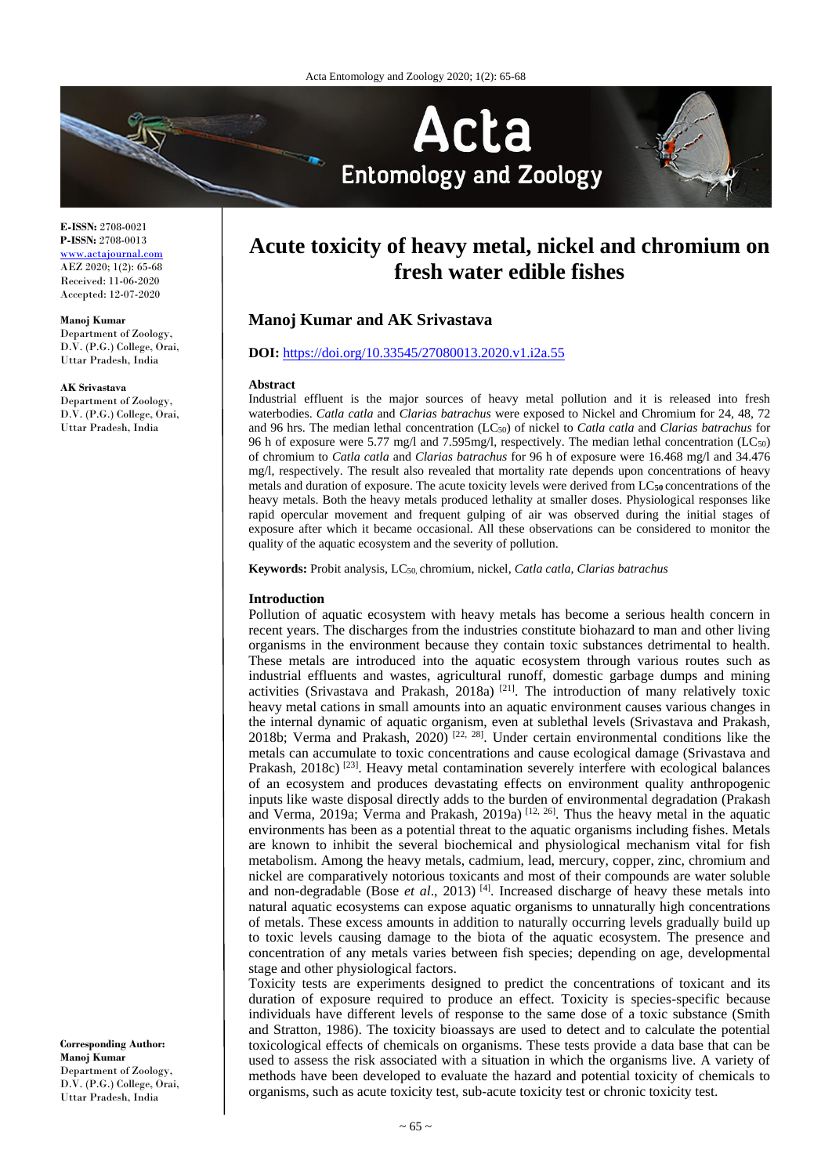

**E-ISSN:** 2708-0021 **P-ISSN:** 2708-0013 [www.actajournal.com](http://www.actajournal.com/) AEZ 2020; 1(2): 65-68 Received: 11-06-2020

Accepted: 12-07-2020

**Manoj Kumar**

Department of Zoology, D.V. (P.G.) College, Orai, Uttar Pradesh, India

**AK Srivastava**

Department of Zoology, D.V. (P.G.) College, Orai, Uttar Pradesh, India

**Corresponding Author: Manoj Kumar** Department of Zoology, D.V. (P.G.) College, Orai, Uttar Pradesh, India

# **Acute toxicity of heavy metal, nickel and chromium on fresh water edible fishes**

# **Manoj Kumar and AK Srivastava**

#### **DOI:** <https://doi.org/10.33545/27080013.2020.v1.i2a.55>

#### **Abstract**

Industrial effluent is the major sources of heavy metal pollution and it is released into fresh waterbodies. *Catla catla* and *Clarias batrachus* were exposed to Nickel and Chromium for 24, 48, 72 and 96 hrs. The median lethal concentration (LC50) of nickel to *Catla catla* and *Clarias batrachus* for 96 h of exposure were 5.77 mg/l and 7.595mg/l, respectively. The median lethal concentration (LC50) of chromium to *Catla catla* and *Clarias batrachus* for 96 h of exposure were 16.468 mg/l and 34.476 mg/l, respectively. The result also revealed that mortality rate depends upon concentrations of heavy metals and duration of exposure. The acute toxicity levels were derived from LC**50** concentrations of the heavy metals. Both the heavy metals produced lethality at smaller doses. Physiological responses like rapid opercular movement and frequent gulping of air was observed during the initial stages of exposure after which it became occasional. All these observations can be considered to monitor the quality of the aquatic ecosystem and the severity of pollution.

**Keywords:** Probit analysis, LC50, chromium, nickel, *Catla catla, Clarias batrachus*

#### **Introduction**

Pollution of aquatic ecosystem with heavy metals has become a serious health concern in recent years. The discharges from the industries constitute biohazard to man and other living organisms in the environment because they contain toxic substances detrimental to health. These metals are introduced into the aquatic ecosystem through various routes such as industrial effluents and wastes, agricultural runoff, domestic garbage dumps and mining activities (Srivastava and Prakash, 2018a)<sup>[21]</sup>. The introduction of many relatively toxic heavy metal cations in small amounts into an aquatic environment causes various changes in the internal dynamic of aquatic organism, even at sublethal levels (Srivastava and Prakash, 2018b; Verma and Prakash, 2020)<sup>[22, 28]</sup>. Under certain environmental conditions like the metals can accumulate to toxic concentrations and cause ecological damage (Srivastava and Prakash, 2018c)<sup>[23]</sup>. Heavy metal contamination severely interfere with ecological balances of an ecosystem and produces devastating effects on environment quality anthropogenic inputs like waste disposal directly adds to the burden of environmental degradation (Prakash and Verma, 2019a; Verma and Prakash, 2019a)  $[12, 26]$ . Thus the heavy metal in the aquatic environments has been as a potential threat to the aquatic organisms including fishes. Metals are known to inhibit the several biochemical and physiological mechanism vital for fish metabolism. Among the heavy metals, cadmium, lead, mercury, copper, zinc, chromium and nickel are comparatively notorious toxicants and most of their compounds are water soluble and non-degradable (Bose *et al.*, 2013)<sup>[4]</sup>. Increased discharge of heavy these metals into natural aquatic ecosystems can expose aquatic organisms to unnaturally high concentrations of metals. These excess amounts in addition to naturally occurring levels gradually build up to toxic levels causing damage to the biota of the aquatic ecosystem. The presence and concentration of any metals varies between fish species; depending on age, developmental stage and other physiological factors.

Toxicity tests are experiments designed to predict the concentrations of toxicant and its duration of exposure required to produce an effect. Toxicity is species-specific because individuals have different levels of response to the same dose of a toxic substance (Smith and Stratton, 1986). The toxicity bioassays are used to detect and to calculate the potential toxicological effects of chemicals on organisms. These tests provide a data base that can be used to assess the risk associated with a situation in which the organisms live. A variety of methods have been developed to evaluate the hazard and potential toxicity of chemicals to organisms, such as acute toxicity test, sub-acute toxicity test or chronic toxicity test.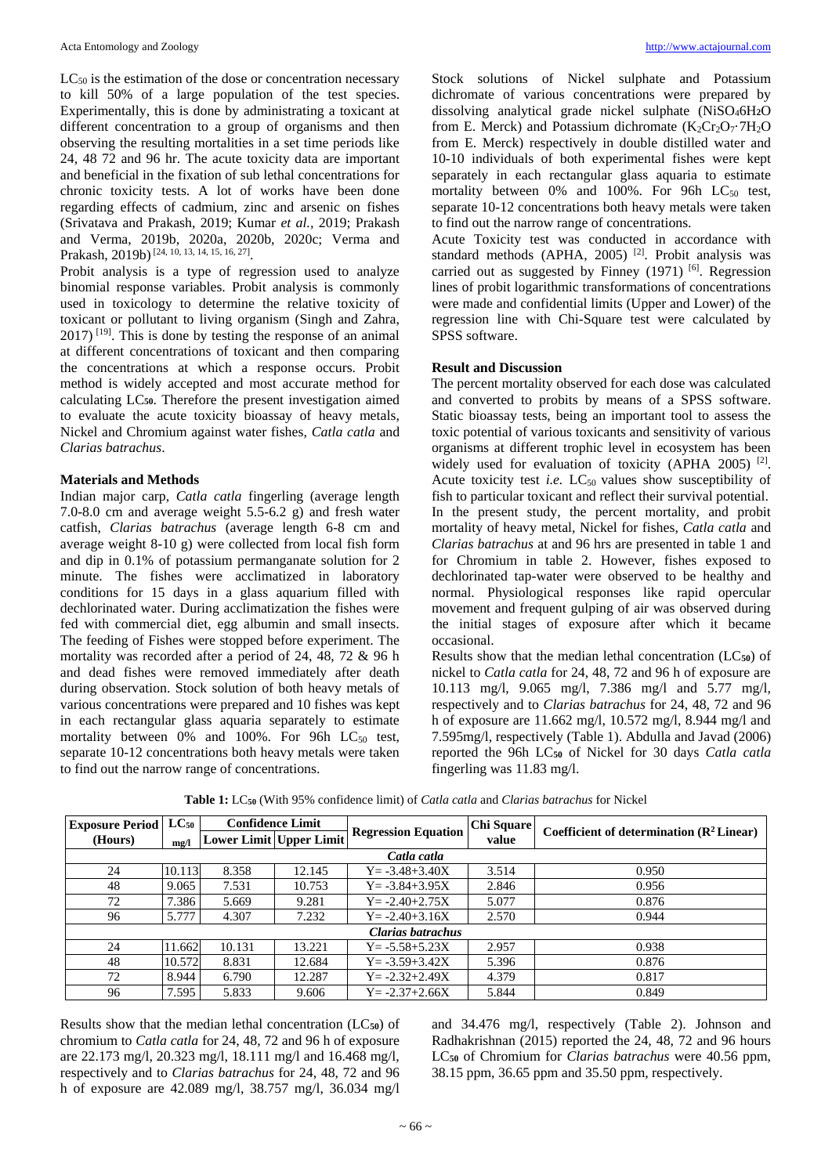$LC_{50}$  is the estimation of the dose or concentration necessary to kill 50% of a large population of the test species. Experimentally, this is done by administrating a toxicant at different concentration to a group of organisms and then observing the resulting mortalities in a set time periods like 24, 48 72 and 96 hr. The acute toxicity data are important and beneficial in the fixation of sub lethal concentrations for chronic toxicity tests. A lot of works have been done regarding effects of cadmium, zinc and arsenic on fishes (Srivatava and Prakash, 2019; Kumar *et al.,* 2019; Prakash and Verma, 2019b, 2020a, 2020b, 2020c; Verma and Prakash, 2019b)<sup>[24, 10, 13, 14, 15, 16, 27]</sup>.

Probit analysis is a type of regression used to analyze binomial response variables. Probit analysis is commonly used in toxicology to determine the relative toxicity of toxicant or pollutant to living organism (Singh and Zahra,  $2017$ ) <sup>[19]</sup>. This is done by testing the response of an animal at different concentrations of toxicant and then comparing the concentrations at which a response occurs. Probit method is widely accepted and most accurate method for calculating LC**50**. Therefore the present investigation aimed to evaluate the acute toxicity bioassay of heavy metals, Nickel and Chromium against water fishes, *Catla catla* and *Clarias batrachus*.

## **Materials and Methods**

Indian major carp, *Catla catla* fingerling (average length 7.0-8.0 cm and average weight 5.5-6.2 g) and fresh water catfish, *Clarias batrachus* (average length 6-8 cm and average weight 8-10 g) were collected from local fish form and dip in 0.1% of potassium permanganate solution for 2 minute. The fishes were acclimatized in laboratory conditions for 15 days in a glass aquarium filled with dechlorinated water. During acclimatization the fishes were fed with commercial diet, egg albumin and small insects. The feeding of Fishes were stopped before experiment. The mortality was recorded after a period of 24, 48, 72 & 96 h and dead fishes were removed immediately after death during observation. Stock solution of both heavy metals of various concentrations were prepared and 10 fishes was kept in each rectangular glass aquaria separately to estimate mortality between  $0\%$  and  $100\%$ . For 96h LC<sub>50</sub> test, separate 10-12 concentrations both heavy metals were taken to find out the narrow range of concentrations.

Stock solutions of Nickel sulphate and Potassium dichromate of various concentrations were prepared by dissolving analytical grade nickel sulphate (NiSO46H**2**O from E. Merck) and Potassium dichromate  $(K_2Cr_2O_7·7H_2O)$ from E. Merck) respectively in double distilled water and 10-10 individuals of both experimental fishes were kept separately in each rectangular glass aquaria to estimate mortality between  $0\%$  and  $100\%$ . For 96h LC<sub>50</sub> test, separate 10-12 concentrations both heavy metals were taken to find out the narrow range of concentrations.

Acute Toxicity test was conducted in accordance with standard methods (APHA, 2005)<sup>[2]</sup>. Probit analysis was carried out as suggested by Finney  $(1971)$  [6]. Regression lines of probit logarithmic transformations of concentrations were made and confidential limits (Upper and Lower) of the regression line with Chi-Square test were calculated by SPSS software.

## **Result and Discussion**

The percent mortality observed for each dose was calculated and converted to probits by means of a SPSS software. Static bioassay tests, being an important tool to assess the toxic potential of various toxicants and sensitivity of various organisms at different trophic level in ecosystem has been widely used for evaluation of toxicity (APHA 2005)<sup>[2]</sup>. Acute toxicity test *i.e.* LC<sub>50</sub> values show susceptibility of fish to particular toxicant and reflect their survival potential. In the present study, the percent mortality, and probit mortality of heavy metal, Nickel for fishes, *Catla catla* and *Clarias batrachus* at and 96 hrs are presented in table 1 and for Chromium in table 2. However, fishes exposed to dechlorinated tap-water were observed to be healthy and normal. Physiological responses like rapid opercular movement and frequent gulping of air was observed during the initial stages of exposure after which it became occasional.

Results show that the median lethal concentration (LC**50**) of nickel to *Catla catla* for 24, 48, 72 and 96 h of exposure are 10.113 mg/l, 9.065 mg/l, 7.386 mg/l and 5.77 mg/l, respectively and to *Clarias batrachus* for 24, 48, 72 and 96 h of exposure are 11.662 mg/l, 10.572 mg/l, 8.944 mg/l and 7.595mg/l, respectively (Table 1). Abdulla and Javad (2006) reported the 96h LC**<sup>50</sup>** of Nickel for 30 days *Catla catla* fingerling was 11.83 mg/l.

| <b>Exposure Period</b> | $LC_{50}$ | <b>Confidence Limit</b> |        |                            | Chi Square |                                             |  |  |  |  |  |  |  |
|------------------------|-----------|-------------------------|--------|----------------------------|------------|---------------------------------------------|--|--|--|--|--|--|--|
| (Hours)                | mg/l      | Lower Limit Upper Limit |        | <b>Regression Equation</b> | value      | Coefficient of determination $(R^2$ Linear) |  |  |  |  |  |  |  |
| Catla catla            |           |                         |        |                            |            |                                             |  |  |  |  |  |  |  |
| 24                     | 10.113    | 8.358                   | 12.145 | $Y = -3.48 + 3.40X$        | 3.514      | 0.950                                       |  |  |  |  |  |  |  |
| 48                     | 9.065     | 7.531                   | 10.753 | $Y = -3.84 + 3.95X$        | 2.846      | 0.956                                       |  |  |  |  |  |  |  |
| 72                     | 7.386     | 5.669                   | 9.281  | $Y = -2.40 + 2.75X$        | 5.077      | 0.876                                       |  |  |  |  |  |  |  |
| 96                     | 5.777     | 4.307                   | 7.232  | $Y = -2.40 + 3.16X$        | 2.570      | 0.944                                       |  |  |  |  |  |  |  |
| Clarias batrachus      |           |                         |        |                            |            |                                             |  |  |  |  |  |  |  |
| 24                     | 11.662    | 10.131                  | 13.221 | $Y = -5.58 + 5.23X$        | 2.957      | 0.938                                       |  |  |  |  |  |  |  |
| 48                     | 10.572    | 8.831                   | 12.684 | $Y = -3.59 + 3.42X$        | 5.396      | 0.876                                       |  |  |  |  |  |  |  |
| 72                     | 8.944     | 6.790                   | 12.287 | $Y = -2.32 + 2.49X$        | 4.379      | 0.817                                       |  |  |  |  |  |  |  |
| 96                     | 7.595     | 5.833                   | 9.606  | $Y = -2.37 + 2.66X$        | 5.844      | 0.849                                       |  |  |  |  |  |  |  |

**Table 1:** LC**<sup>50</sup>** (With 95% confidence limit) of *Catla catla* and *Clarias batrachus* for Nickel

Results show that the median lethal concentration (LC**50**) of chromium to *Catla catla* for 24, 48, 72 and 96 h of exposure are 22.173 mg/l, 20.323 mg/l, 18.111 mg/l and 16.468 mg/l, respectively and to *Clarias batrachus* for 24, 48, 72 and 96 h of exposure are 42.089 mg/l, 38.757 mg/l, 36.034 mg/l

and 34.476 mg/l, respectively (Table 2). Johnson and Radhakrishnan (2015) reported the 24, 48, 72 and 96 hours LC**<sup>50</sup>** of Chromium for *Clarias batrachus* were 40.56 ppm, 38.15 ppm, 36.65 ppm and 35.50 ppm, respectively.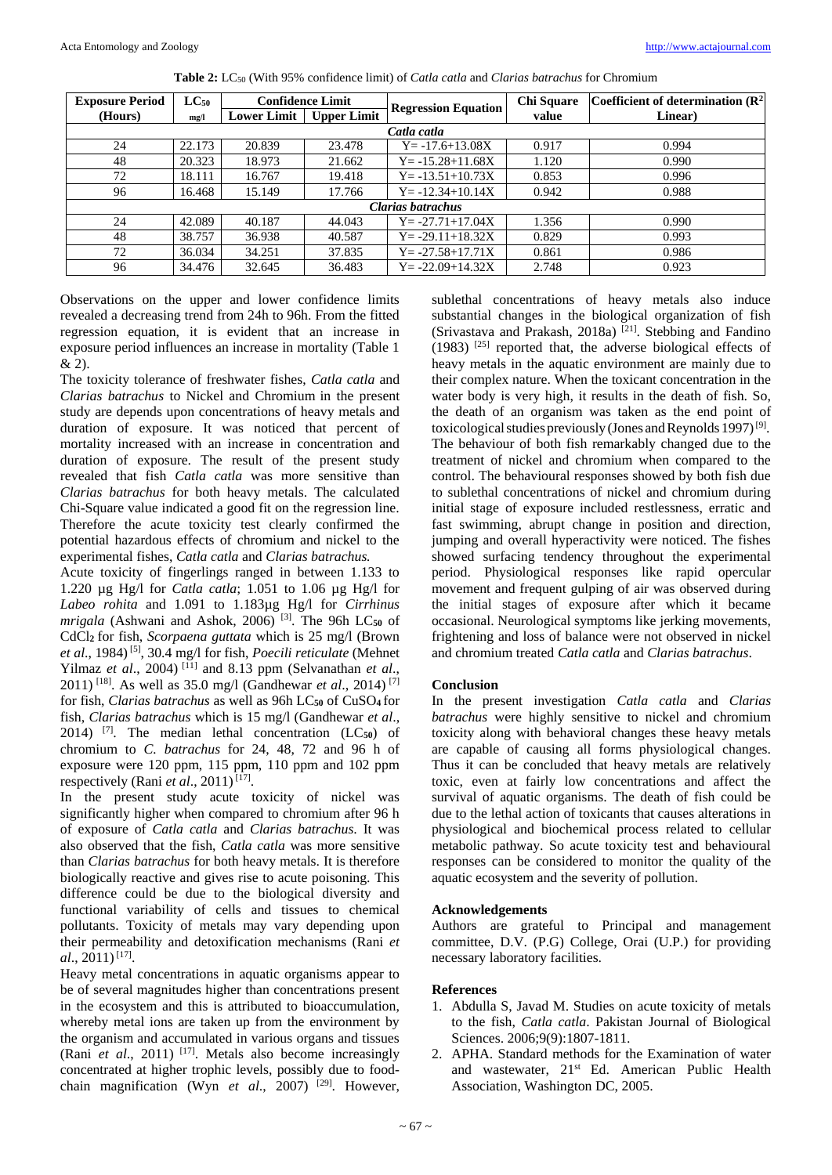| <b>Exposure Period</b> | $LC_{50}$ |             | <b>Confidence Limit</b> | <b>Regression Equation</b> | <b>Chi Square</b> | Coefficient of determination $(R^2)$ |  |  |  |  |  |  |
|------------------------|-----------|-------------|-------------------------|----------------------------|-------------------|--------------------------------------|--|--|--|--|--|--|
| (Hours)                | mg/l      | Lower Limit | <b>Upper Limit</b>      |                            | value             | Linear)                              |  |  |  |  |  |  |
| Catla catla            |           |             |                         |                            |                   |                                      |  |  |  |  |  |  |
| 24                     | 22.173    | 20.839      | 23.478                  | $Y = -17.6 + 13.08X$       | 0.917             | 0.994                                |  |  |  |  |  |  |
| 48                     | 20.323    | 18.973      | 21.662                  | $Y = -15.28 + 11.68X$      | 1.120             | 0.990                                |  |  |  |  |  |  |
| 72                     | 18.111    | 16.767      | 19.418                  | $Y = -13.51 + 10.73X$      | 0.853             | 0.996                                |  |  |  |  |  |  |
| 96                     | 16.468    | 15.149      | 17.766                  | $Y = -12.34 + 10.14X$      | 0.942             | 0.988                                |  |  |  |  |  |  |
| Clarias batrachus      |           |             |                         |                            |                   |                                      |  |  |  |  |  |  |
| 24                     | 42.089    | 40.187      | 44.043                  | $Y = -27.71 + 17.04X$      | 1.356             | 0.990                                |  |  |  |  |  |  |
| 48                     | 38.757    | 36.938      | 40.587                  | $Y = -29.11 + 18.32X$      | 0.829             | 0.993                                |  |  |  |  |  |  |
| 72                     | 36.034    | 34.251      | 37.835                  | $Y = -27.58 + 17.71X$      | 0.861             | 0.986                                |  |  |  |  |  |  |
| 96                     | 34.476    | 32.645      | 36.483                  | $Y = -22.09 + 14.32X$      | 2.748             | 0.923                                |  |  |  |  |  |  |

**Table 2:** LC<sub>50</sub> (With 95% confidence limit) of *Catla catla* and *Clarias batrachus* for Chromium

Observations on the upper and lower confidence limits revealed a decreasing trend from 24h to 96h. From the fitted regression equation, it is evident that an increase in exposure period influences an increase in mortality (Table 1 & 2).

The toxicity tolerance of freshwater fishes, *Catla catla* and *Clarias batrachus* to Nickel and Chromium in the present study are depends upon concentrations of heavy metals and duration of exposure. It was noticed that percent of mortality increased with an increase in concentration and duration of exposure. The result of the present study revealed that fish *Catla catla* was more sensitive than *Clarias batrachus* for both heavy metals. The calculated Chi-Square value indicated a good fit on the regression line. Therefore the acute toxicity test clearly confirmed the potential hazardous effects of chromium and nickel to the experimental fishes, *Catla catla* and *Clarias batrachus.*

Acute toxicity of fingerlings ranged in between 1.133 to 1.220 µg Hg/l for *Catla catla*; 1.051 to 1.06 µg Hg/l for *Labeo rohita* and 1.091 to 1.183µg Hg/l for *Cirrhinus*  mrigala (Ashwani and Ashok, 2006)<sup>[3]</sup>. The 96h LC<sub>50</sub> of CdCl**2** for fish, *Scorpaena guttata* which is 25 mg/l (Brown et al., 1984)<sup>[5]</sup>, 30.4 mg/l for fish, *Poecili reticulate* (Mehnet Yilmaz *et al*., 2004) [11] and 8.13 ppm (Selvanathan *et al*., 2011) [18] . As well as 35.0 mg/l (Gandhewar *et al*., 2014) [7] for fish, *Clarias batrachus* as well as 96h LC**<sup>50</sup>** of CuSO**4** for fish, *Clarias batrachus* which is 15 mg/l (Gandhewar *et al*., 2014) [7] . The median lethal concentration (LC**50**) of chromium to *C. batrachus* for 24, 48, 72 and 96 h of exposure were 120 ppm, 115 ppm, 110 ppm and 102 ppm respectively (Rani *et al.*, 2011)<sup>[17]</sup>.

In the present study acute toxicity of nickel was significantly higher when compared to chromium after 96 h of exposure of *Catla catla* and *Clarias batrachus*. It was also observed that the fish, *Catla catla* was more sensitive than *Clarias batrachus* for both heavy metals. It is therefore biologically reactive and gives rise to acute poisoning. This difference could be due to the biological diversity and functional variability of cells and tissues to chemical pollutants. Toxicity of metals may vary depending upon their permeability and detoxification mechanisms (Rani *et*   $al., 2011$ <sup>[17]</sup>.

Heavy metal concentrations in aquatic organisms appear to be of several magnitudes higher than concentrations present in the ecosystem and this is attributed to bioaccumulation, whereby metal ions are taken up from the environment by the organism and accumulated in various organs and tissues (Rani *et al.*, 2011)<sup>[17]</sup>. Metals also become increasingly concentrated at higher trophic levels, possibly due to foodchain magnification (Wyn et al., 2007)<sup>[29]</sup>. However,

sublethal concentrations of heavy metals also induce substantial changes in the biological organization of fish (Srivastava and Prakash, 2018a) [21] . Stebbing and Fandino (1983) [25] reported that, the adverse biological effects of heavy metals in the aquatic environment are mainly due to their complex nature. When the toxicant concentration in the water body is very high, it results in the death of fish. So, the death of an organism was taken as the end point of toxicological studies previously (Jones and Reynolds 1997)<sup>[9]</sup>. The behaviour of both fish remarkably changed due to the treatment of nickel and chromium when compared to the control. The behavioural responses showed by both fish due to sublethal concentrations of nickel and chromium during initial stage of exposure included restlessness, erratic and fast swimming, abrupt change in position and direction, jumping and overall hyperactivity were noticed. The fishes showed surfacing tendency throughout the experimental period. Physiological responses like rapid opercular movement and frequent gulping of air was observed during the initial stages of exposure after which it became occasional. Neurological symptoms like jerking movements, frightening and loss of balance were not observed in nickel and chromium treated *Catla catla* and *Clarias batrachus*.

# **Conclusion**

In the present investigation *Catla catla* and *Clarias batrachus* were highly sensitive to nickel and chromium toxicity along with behavioral changes these heavy metals are capable of causing all forms physiological changes. Thus it can be concluded that heavy metals are relatively toxic, even at fairly low concentrations and affect the survival of aquatic organisms. The death of fish could be due to the lethal action of toxicants that causes alterations in physiological and biochemical process related to cellular metabolic pathway. So acute toxicity test and behavioural responses can be considered to monitor the quality of the aquatic ecosystem and the severity of pollution.

# **Acknowledgements**

Authors are grateful to Principal and management committee, D.V. (P.G) College, Orai (U.P.) for providing necessary laboratory facilities.

## **References**

- 1. Abdulla S, Javad M. Studies on acute toxicity of metals to the fish, *Catla catla*. Pakistan Journal of Biological Sciences. 2006;9(9):1807-1811.
- 2. APHA. Standard methods for the Examination of water and wastewater, 21<sup>st</sup> Ed. American Public Health Association, Washington DC, 2005.